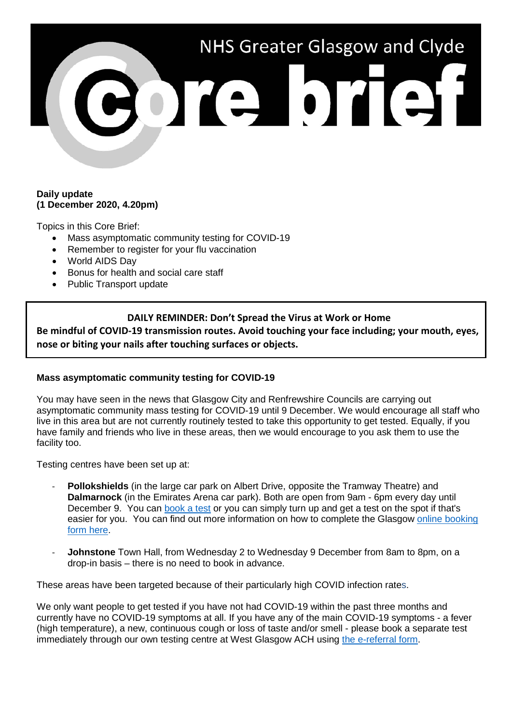

### **Daily update (1 December 2020, 4.20pm)**

Topics in this Core Brief:

- Mass asymptomatic community testing for COVID-19
- Remember to register for your flu vaccination
- World AIDS Day
- Bonus for health and social care staff
- Public Transport update

# **DAILY REMINDER: Don't Spread the Virus at Work or Home**

**Be mindful of COVID-19 transmission routes. Avoid touching your face including; your mouth, eyes, nose or biting your nails after touching surfaces or objects.** 

## **Mass asymptomatic community testing for COVID-19**

You may have seen in the news that Glasgow City and Renfrewshire Councils are carrying out asymptomatic community mass testing for COVID-19 until 9 December. We would encourage all staff who live in this area but are not currently routinely tested to take this opportunity to get tested. Equally, if you have family and friends who live in these areas, then we would encourage to you ask them to use the facility too.

Testing centres have been set up at:

- **Pollokshields** (in the large car park on Albert Drive, opposite the Tramway Theatre) and **Dalmarnock** (in the Emirates Arena car park). Both are open from 9am - 6pm every day until December 9. You can [book a test](https://www.glasgow.gov.uk/test) or you can simply turn up and get a test on the spot if that's easier for you. You can find out more information on how to complete the Glasgow [online booking](https://www.glasgow.gov.uk/test)  [form here.](https://www.glasgow.gov.uk/test)
- Johnstone Town Hall, from Wednesday 2 to Wednesday 9 December from 8am to 8pm, on a drop-in basis – there is no need to book in advance.

These areas have been targeted because of their particularly high COVID infection rates.

We only want people to get tested if you have not had COVID-19 within the past three months and currently have no COVID-19 symptoms at all. If you have any of the main COVID-19 symptoms - a fever (high temperature), a new, continuous cough or loss of taste and/or smell - please book a separate test immediately through our own testing centre at West Glasgow ACH using [the e-referral form.](https://forms.office.com/Pages/ResponsePage.aspx?id=veDvEDCgykuAnLXmdF5JmgW9YoY5w-BDlHK7ghonYUBURTJBTFE0UEFBN0I2ODU3S0lFNTJJUjYzTiQlQCN0PWcu)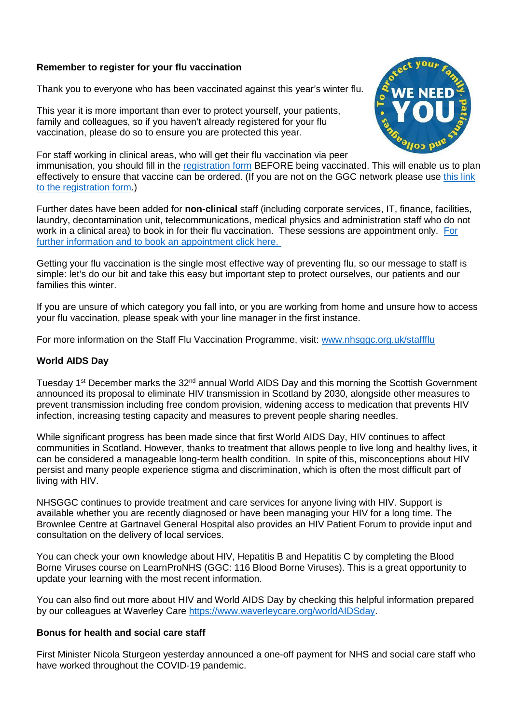### **Remember to register for your flu vaccination**

Thank you to everyone who has been vaccinated against this year's winter flu.

This year it is more important than ever to protect yourself, your patients, family and colleagues, so if you haven't already registered for your flu vaccination, please do so to ensure you are protected this year.



For staff working in clinical areas, who will get their flu vaccination via peer immunisation, you should fill in the [registration form](https://ggcflu.azurewebsites.net/) BEFORE being vaccinated. This will enable us to plan effectively to ensure that vaccine can be ordered. (If you are not on the GGC network please use [this link](https://forms.office.com/Pages/ResponsePage.aspx?id=veDvEDCgykuAnLXmdF5JmgW9YoY5w-BDlHK7ghonYUBUM0VUN0ExSFI4UkZaRFlKREFJTlZWTDhaOSQlQCN0PWcu)  [to the registration form.](https://forms.office.com/Pages/ResponsePage.aspx?id=veDvEDCgykuAnLXmdF5JmgW9YoY5w-BDlHK7ghonYUBUM0VUN0ExSFI4UkZaRFlKREFJTlZWTDhaOSQlQCN0PWcu))

Further dates have been added for **non-clinical** staff (including corporate services, IT, finance, facilities, laundry, decontamination unit, telecommunications, medical physics and administration staff who do not work in a clinical area) to book in for their flu vaccination. These sessions are appointment only. [For](https://www.nhsggc.org.uk/working-with-us/hr-connect/occupational-health/staff-flu-vaccination-programme-2020-2021/non-clinical-areas/sessions-for-non-clinical-staff/)  [further information and to book an appointment click here.](https://www.nhsggc.org.uk/working-with-us/hr-connect/occupational-health/staff-flu-vaccination-programme-2020-2021/non-clinical-areas/sessions-for-non-clinical-staff/) 

Getting your flu vaccination is the single most effective way of preventing flu, so our message to staff is simple: let's do our bit and take this easy but important step to protect ourselves, our patients and our families this winter.

If you are unsure of which category you fall into, or you are working from home and unsure how to access your flu vaccination, please speak with your line manager in the first instance.

For more information on the Staff Flu Vaccination Programme, visit: [www.nhsggc.org.uk/staffflu](http://www.nhsggc.org.uk/staffflu)

### **World AIDS Day**

Tuesday 1<sup>st</sup> December marks the 32<sup>nd</sup> annual World AIDS Day and this morning the Scottish Government announced its proposal to eliminate HIV transmission in Scotland by 2030, alongside other measures to prevent transmission including free condom provision, widening access to medication that prevents HIV infection, increasing testing capacity and measures to prevent people sharing needles.

While significant progress has been made since that first World AIDS Day, HIV continues to affect communities in Scotland. However, thanks to treatment that allows people to live long and healthy lives, it can be considered a manageable long-term health condition. In spite of this, misconceptions about HIV persist and many people experience stigma and discrimination, which is often the most difficult part of living with HIV.

NHSGGC continues to provide treatment and care services for anyone living with HIV. Support is available whether you are recently diagnosed or have been managing your HIV for a long time. The Brownlee Centre at Gartnavel General Hospital also provides an HIV Patient Forum to provide input and consultation on the delivery of local services.

You can check your own knowledge about HIV, Hepatitis B and Hepatitis C by completing the Blood Borne Viruses course on LearnProNHS (GGC: 116 Blood Borne Viruses). This is a great opportunity to update your learning with the most recent information.

You can also find out more about HIV and World AIDS Day by checking this helpful information prepared by our colleagues at Waverley Care [https://www.waverleycare.org/worldAIDSday.](https://www.waverleycare.org/worldAIDSday)

#### **Bonus for health and social care staff**

First Minister Nicola Sturgeon yesterday announced a one-off payment for NHS and social care staff who have worked throughout the COVID-19 pandemic.